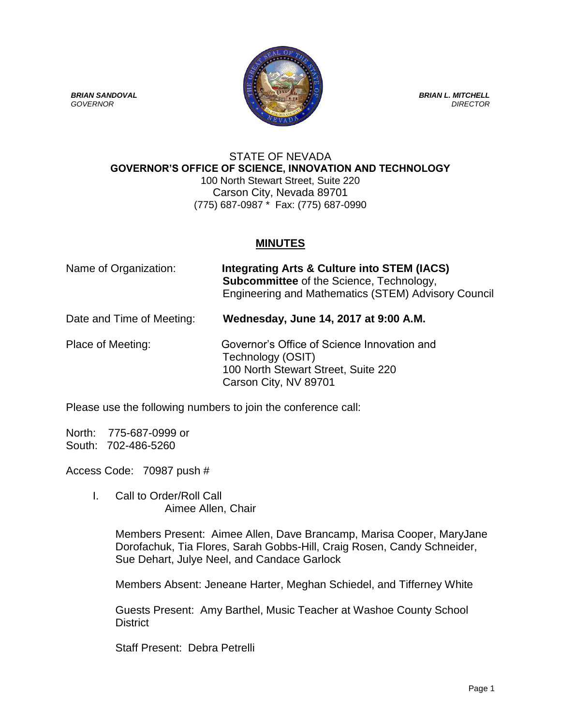

## STATE OF NEVADA **GOVERNOR'S OFFICE OF SCIENCE, INNOVATION AND TECHNOLOGY** 100 North Stewart Street, Suite 220 Carson City, Nevada 89701 (775) 687-0987 \* Fax: (775) 687-0990

## **MINUTES**

| Name of Organization:     | Integrating Arts & Culture into STEM (IACS)<br><b>Subcommittee</b> of the Science, Technology,<br>Engineering and Mathematics (STEM) Advisory Council |
|---------------------------|-------------------------------------------------------------------------------------------------------------------------------------------------------|
| Date and Time of Meeting: | Wednesday, June 14, 2017 at 9:00 A.M.                                                                                                                 |

## Place of Meeting: Governor's Office of Science Innovation and Technology (OSIT) 100 North Stewart Street, Suite 220 Carson City, NV 89701

Please use the following numbers to join the conference call:

North: 775-687-0999 or South: 702-486-5260

Access Code: 70987 push #

I. Call to Order/Roll Call Aimee Allen, Chair

> Members Present: Aimee Allen, Dave Brancamp, Marisa Cooper, MaryJane Dorofachuk, Tia Flores, Sarah Gobbs-Hill, Craig Rosen, Candy Schneider, Sue Dehart, Julye Neel, and Candace Garlock

Members Absent: Jeneane Harter, Meghan Schiedel, and Tifferney White

Guests Present: Amy Barthel, Music Teacher at Washoe County School District

Staff Present: Debra Petrelli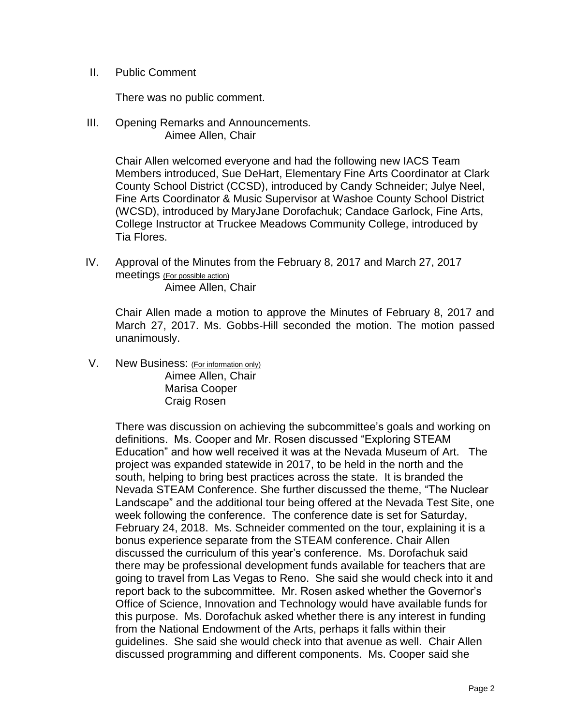II. Public Comment

There was no public comment.

III. Opening Remarks and Announcements. Aimee Allen, Chair

> Chair Allen welcomed everyone and had the following new IACS Team Members introduced, Sue DeHart, Elementary Fine Arts Coordinator at Clark County School District (CCSD), introduced by Candy Schneider; Julye Neel, Fine Arts Coordinator & Music Supervisor at Washoe County School District (WCSD), introduced by MaryJane Dorofachuk; Candace Garlock, Fine Arts, College Instructor at Truckee Meadows Community College, introduced by Tia Flores.

IV. Approval of the Minutes from the February 8, 2017 and March 27, 2017 meetings (For possible action) Aimee Allen, Chair

Chair Allen made a motion to approve the Minutes of February 8, 2017 and March 27, 2017. Ms. Gobbs-Hill seconded the motion. The motion passed unanimously.

V. New Business: (For information only) Aimee Allen, Chair Marisa Cooper Craig Rosen

> There was discussion on achieving the subcommittee's goals and working on definitions. Ms. Cooper and Mr. Rosen discussed "Exploring STEAM Education" and how well received it was at the Nevada Museum of Art. The project was expanded statewide in 2017, to be held in the north and the south, helping to bring best practices across the state. It is branded the Nevada STEAM Conference. She further discussed the theme, "The Nuclear Landscape" and the additional tour being offered at the Nevada Test Site, one week following the conference. The conference date is set for Saturday, February 24, 2018. Ms. Schneider commented on the tour, explaining it is a bonus experience separate from the STEAM conference. Chair Allen discussed the curriculum of this year's conference. Ms. Dorofachuk said there may be professional development funds available for teachers that are going to travel from Las Vegas to Reno. She said she would check into it and report back to the subcommittee. Mr. Rosen asked whether the Governor's Office of Science, Innovation and Technology would have available funds for this purpose. Ms. Dorofachuk asked whether there is any interest in funding from the National Endowment of the Arts, perhaps it falls within their guidelines. She said she would check into that avenue as well. Chair Allen discussed programming and different components. Ms. Cooper said she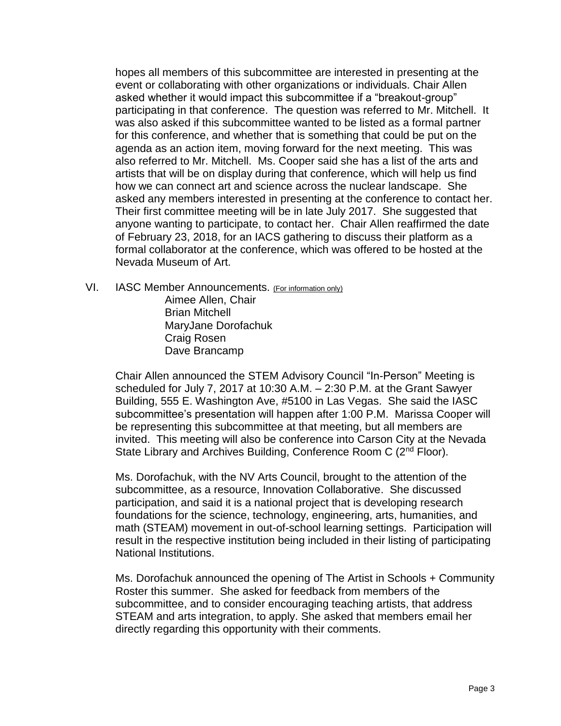hopes all members of this subcommittee are interested in presenting at the event or collaborating with other organizations or individuals. Chair Allen asked whether it would impact this subcommittee if a "breakout-group" participating in that conference. The question was referred to Mr. Mitchell. It was also asked if this subcommittee wanted to be listed as a formal partner for this conference, and whether that is something that could be put on the agenda as an action item, moving forward for the next meeting. This was also referred to Mr. Mitchell. Ms. Cooper said she has a list of the arts and artists that will be on display during that conference, which will help us find how we can connect art and science across the nuclear landscape. She asked any members interested in presenting at the conference to contact her. Their first committee meeting will be in late July 2017. She suggested that anyone wanting to participate, to contact her. Chair Allen reaffirmed the date of February 23, 2018, for an IACS gathering to discuss their platform as a formal collaborator at the conference, which was offered to be hosted at the Nevada Museum of Art.

VI. IASC Member Announcements. (For information only) Aimee Allen, Chair Brian Mitchell MaryJane Dorofachuk Craig Rosen Dave Brancamp

> Chair Allen announced the STEM Advisory Council "In-Person" Meeting is scheduled for July 7, 2017 at 10:30 A.M. – 2:30 P.M. at the Grant Sawyer Building, 555 E. Washington Ave, #5100 in Las Vegas. She said the IASC subcommittee's presentation will happen after 1:00 P.M. Marissa Cooper will be representing this subcommittee at that meeting, but all members are invited. This meeting will also be conference into Carson City at the Nevada State Library and Archives Building, Conference Room C (2<sup>nd</sup> Floor).

> Ms. Dorofachuk, with the NV Arts Council, brought to the attention of the subcommittee, as a resource, Innovation Collaborative. She discussed participation, and said it is a national project that is developing research foundations for the science, technology, engineering, arts, humanities, and math (STEAM) movement in out-of-school learning settings. Participation will result in the respective institution being included in their listing of participating National Institutions.

> Ms. Dorofachuk announced the opening of The Artist in Schools + Community Roster this summer. She asked for feedback from members of the subcommittee, and to consider encouraging teaching artists, that address STEAM and arts integration, to apply. She asked that members email her directly regarding this opportunity with their comments.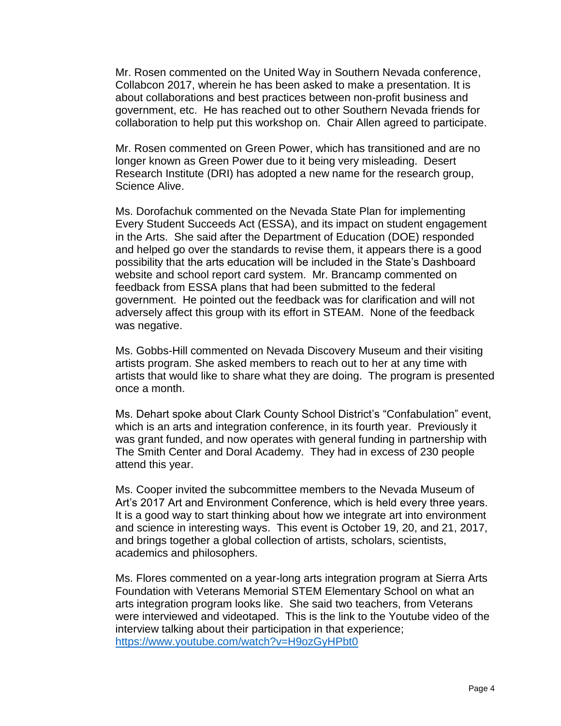Mr. Rosen commented on the United Way in Southern Nevada conference, Collabcon 2017, wherein he has been asked to make a presentation. It is about collaborations and best practices between non-profit business and government, etc. He has reached out to other Southern Nevada friends for collaboration to help put this workshop on. Chair Allen agreed to participate.

Mr. Rosen commented on Green Power, which has transitioned and are no longer known as Green Power due to it being very misleading. Desert Research Institute (DRI) has adopted a new name for the research group, Science Alive.

Ms. Dorofachuk commented on the Nevada State Plan for implementing Every Student Succeeds Act (ESSA), and its impact on student engagement in the Arts. She said after the Department of Education (DOE) responded and helped go over the standards to revise them, it appears there is a good possibility that the arts education will be included in the State's Dashboard website and school report card system. Mr. Brancamp commented on feedback from ESSA plans that had been submitted to the federal government. He pointed out the feedback was for clarification and will not adversely affect this group with its effort in STEAM. None of the feedback was negative.

Ms. Gobbs-Hill commented on Nevada Discovery Museum and their visiting artists program. She asked members to reach out to her at any time with artists that would like to share what they are doing. The program is presented once a month.

Ms. Dehart spoke about Clark County School District's "Confabulation" event, which is an arts and integration conference, in its fourth year. Previously it was grant funded, and now operates with general funding in partnership with The Smith Center and Doral Academy. They had in excess of 230 people attend this year.

Ms. Cooper invited the subcommittee members to the Nevada Museum of Art's 2017 Art and Environment Conference, which is held every three years. It is a good way to start thinking about how we integrate art into environment and science in interesting ways. This event is October 19, 20, and 21, 2017, and brings together a global collection of artists, scholars, scientists, academics and philosophers.

Ms. Flores commented on a year-long arts integration program at Sierra Arts Foundation with Veterans Memorial STEM Elementary School on what an arts integration program looks like. She said two teachers, from Veterans were interviewed and videotaped. This is the link to the Youtube video of the interview talking about their participation in that experience; <https://www.youtube.com/watch?v=H9ozGyHPbt0>